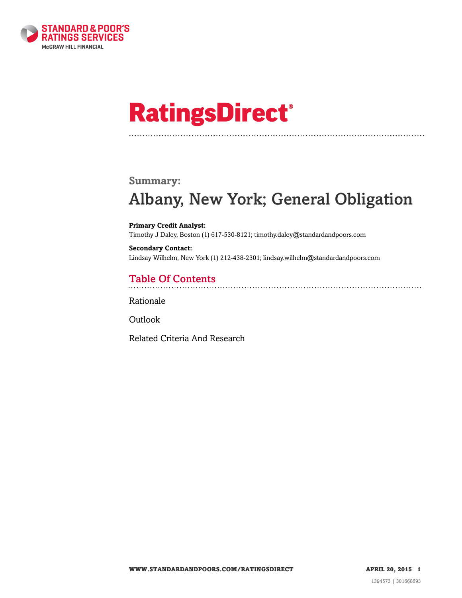

# **RatingsDirect®**

### **Summary:**

# Albany, New York; General Obligation

**Primary Credit Analyst:** Timothy J Daley, Boston (1) 617-530-8121; timothy.daley@standardandpoors.com

**Secondary Contact:** Lindsay Wilhelm, New York (1) 212-438-2301; lindsay.wilhelm@standardandpoors.com

# Table Of Contents

[Rationale](#page-1-0)

**[Outlook](#page-4-0)** 

[Related Criteria And Research](#page-4-1)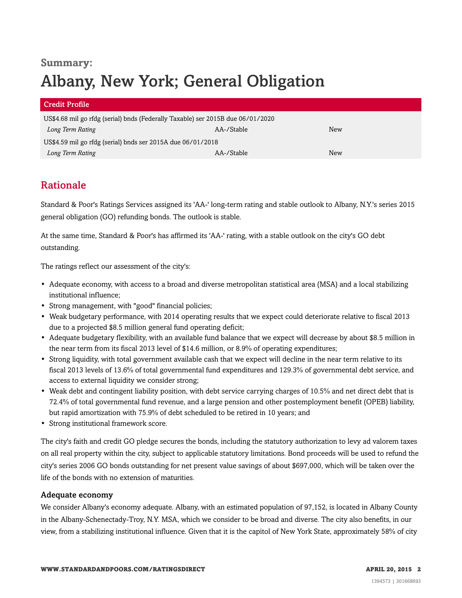# **Summary:** Albany, New York; General Obligation

| <b>Credit Profile</b>                                                           |            |     |  |
|---------------------------------------------------------------------------------|------------|-----|--|
| US\$4.68 mil go rfdg (serial) bnds (Federally Taxable) ser 2015B due 06/01/2020 |            |     |  |
| Long Term Rating                                                                | AA-/Stable | New |  |
| US\$4.59 mil go rfdg (serial) bnds ser 2015A due 06/01/2018                     |            |     |  |
| Long Term Rating                                                                | AA-/Stable | New |  |

# <span id="page-1-0"></span>Rationale

Standard & Poor's Ratings Services assigned its 'AA-' long-term rating and stable outlook to Albany, N.Y.'s series 2015 general obligation (GO) refunding bonds. The outlook is stable.

At the same time, Standard & Poor's has affirmed its 'AA-' rating, with a stable outlook on the city's GO debt outstanding.

The ratings reflect our assessment of the city's:

- Adequate economy, with access to a broad and diverse metropolitan statistical area (MSA) and a local stabilizing institutional influence;
- Strong management, with "good" financial policies;
- Weak budgetary performance, with 2014 operating results that we expect could deteriorate relative to fiscal 2013 due to a projected \$8.5 million general fund operating deficit;
- Adequate budgetary flexibility, with an available fund balance that we expect will decrease by about \$8.5 million in the near term from its fiscal 2013 level of \$14.6 million, or 8.9% of operating expenditures;
- Strong liquidity, with total government available cash that we expect will decline in the near term relative to its fiscal 2013 levels of 13.6% of total governmental fund expenditures and 129.3% of governmental debt service, and access to external liquidity we consider strong;
- Weak debt and contingent liability position, with debt service carrying charges of 10.5% and net direct debt that is 72.4% of total governmental fund revenue, and a large pension and other postemployment benefit (OPEB) liability, but rapid amortization with 75.9% of debt scheduled to be retired in 10 years; and
- Strong institutional framework score.

The city's faith and credit GO pledge secures the bonds, including the statutory authorization to levy ad valorem taxes on all real property within the city, subject to applicable statutory limitations. Bond proceeds will be used to refund the city's series 2006 GO bonds outstanding for net present value savings of about \$697,000, which will be taken over the life of the bonds with no extension of maturities.

#### Adequate economy

We consider Albany's economy adequate. Albany, with an estimated population of 97,152, is located in Albany County in the Albany-Schenectady-Troy, N.Y. MSA, which we consider to be broad and diverse. The city also benefits, in our view, from a stabilizing institutional influence. Given that it is the capitol of New York State, approximately 58% of city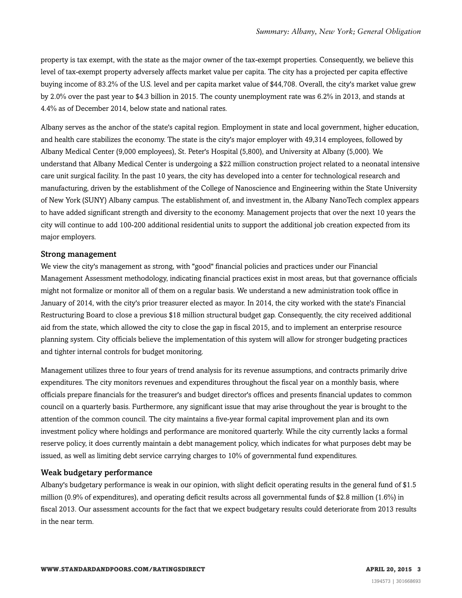property is tax exempt, with the state as the major owner of the tax-exempt properties. Consequently, we believe this level of tax-exempt property adversely affects market value per capita. The city has a projected per capita effective buying income of 83.2% of the U.S. level and per capita market value of \$44,708. Overall, the city's market value grew by 2.0% over the past year to \$4.3 billion in 2015. The county unemployment rate was 6.2% in 2013, and stands at 4.4% as of December 2014, below state and national rates.

Albany serves as the anchor of the state's capital region. Employment in state and local government, higher education, and health care stabilizes the economy. The state is the city's major employer with 49,314 employees, followed by Albany Medical Center (9,000 employees), St. Peter's Hospital (5,800), and University at Albany (5,000). We understand that Albany Medical Center is undergoing a \$22 million construction project related to a neonatal intensive care unit surgical facility. In the past 10 years, the city has developed into a center for technological research and manufacturing, driven by the establishment of the College of Nanoscience and Engineering within the State University of New York (SUNY) Albany campus. The establishment of, and investment in, the Albany NanoTech complex appears to have added significant strength and diversity to the economy. Management projects that over the next 10 years the city will continue to add 100-200 additional residential units to support the additional job creation expected from its major employers.

#### Strong management

We view the city's management as strong, with "good" financial policies and practices under our Financial Management Assessment methodology, indicating financial practices exist in most areas, but that governance officials might not formalize or monitor all of them on a regular basis. We understand a new administration took office in January of 2014, with the city's prior treasurer elected as mayor. In 2014, the city worked with the state's Financial Restructuring Board to close a previous \$18 million structural budget gap. Consequently, the city received additional aid from the state, which allowed the city to close the gap in fiscal 2015, and to implement an enterprise resource planning system. City officials believe the implementation of this system will allow for stronger budgeting practices and tighter internal controls for budget monitoring.

Management utilizes three to four years of trend analysis for its revenue assumptions, and contracts primarily drive expenditures. The city monitors revenues and expenditures throughout the fiscal year on a monthly basis, where officials prepare financials for the treasurer's and budget director's offices and presents financial updates to common council on a quarterly basis. Furthermore, any significant issue that may arise throughout the year is brought to the attention of the common council. The city maintains a five-year formal capital improvement plan and its own investment policy where holdings and performance are monitored quarterly. While the city currently lacks a formal reserve policy, it does currently maintain a debt management policy, which indicates for what purposes debt may be issued, as well as limiting debt service carrying charges to 10% of governmental fund expenditures.

#### Weak budgetary performance

Albany's budgetary performance is weak in our opinion, with slight deficit operating results in the general fund of \$1.5 million (0.9% of expenditures), and operating deficit results across all governmental funds of \$2.8 million (1.6%) in fiscal 2013. Our assessment accounts for the fact that we expect budgetary results could deteriorate from 2013 results in the near term.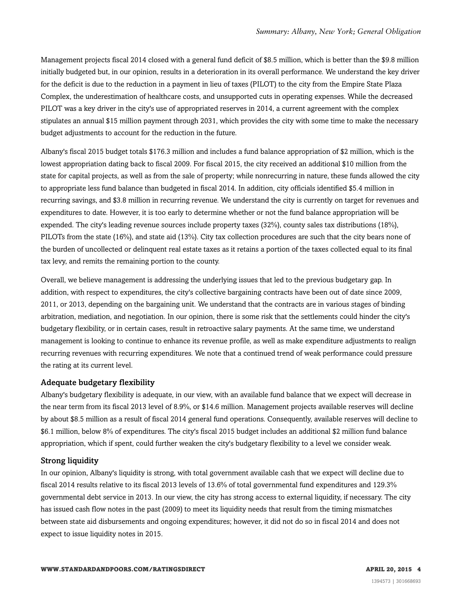Management projects fiscal 2014 closed with a general fund deficit of \$8.5 million, which is better than the \$9.8 million initially budgeted but, in our opinion, results in a deterioration in its overall performance. We understand the key driver for the deficit is due to the reduction in a payment in lieu of taxes (PILOT) to the city from the Empire State Plaza Complex, the underestimation of healthcare costs, and unsupported cuts in operating expenses. While the decreased PILOT was a key driver in the city's use of appropriated reserves in 2014, a current agreement with the complex stipulates an annual \$15 million payment through 2031, which provides the city with some time to make the necessary budget adjustments to account for the reduction in the future.

Albany's fiscal 2015 budget totals \$176.3 million and includes a fund balance appropriation of \$2 million, which is the lowest appropriation dating back to fiscal 2009. For fiscal 2015, the city received an additional \$10 million from the state for capital projects, as well as from the sale of property; while nonrecurring in nature, these funds allowed the city to appropriate less fund balance than budgeted in fiscal 2014. In addition, city officials identified \$5.4 million in recurring savings, and \$3.8 million in recurring revenue. We understand the city is currently on target for revenues and expenditures to date. However, it is too early to determine whether or not the fund balance appropriation will be expended. The city's leading revenue sources include property taxes (32%), county sales tax distributions (18%), PILOTs from the state (16%), and state aid (13%). City tax collection procedures are such that the city bears none of the burden of uncollected or delinquent real estate taxes as it retains a portion of the taxes collected equal to its final tax levy, and remits the remaining portion to the county.

Overall, we believe management is addressing the underlying issues that led to the previous budgetary gap. In addition, with respect to expenditures, the city's collective bargaining contracts have been out of date since 2009, 2011, or 2013, depending on the bargaining unit. We understand that the contracts are in various stages of binding arbitration, mediation, and negotiation. In our opinion, there is some risk that the settlements could hinder the city's budgetary flexibility, or in certain cases, result in retroactive salary payments. At the same time, we understand management is looking to continue to enhance its revenue profile, as well as make expenditure adjustments to realign recurring revenues with recurring expenditures. We note that a continued trend of weak performance could pressure the rating at its current level.

#### Adequate budgetary flexibility

Albany's budgetary flexibility is adequate, in our view, with an available fund balance that we expect will decrease in the near term from its fiscal 2013 level of 8.9%, or \$14.6 million. Management projects available reserves will decline by about \$8.5 million as a result of fiscal 2014 general fund operations. Consequently, available reserves will decline to \$6.1 million, below 8% of expenditures. The city's fiscal 2015 budget includes an additional \$2 million fund balance appropriation, which if spent, could further weaken the city's budgetary flexibility to a level we consider weak.

#### Strong liquidity

In our opinion, Albany's liquidity is strong, with total government available cash that we expect will decline due to fiscal 2014 results relative to its fiscal 2013 levels of 13.6% of total governmental fund expenditures and 129.3% governmental debt service in 2013. In our view, the city has strong access to external liquidity, if necessary. The city has issued cash flow notes in the past (2009) to meet its liquidity needs that result from the timing mismatches between state aid disbursements and ongoing expenditures; however, it did not do so in fiscal 2014 and does not expect to issue liquidity notes in 2015.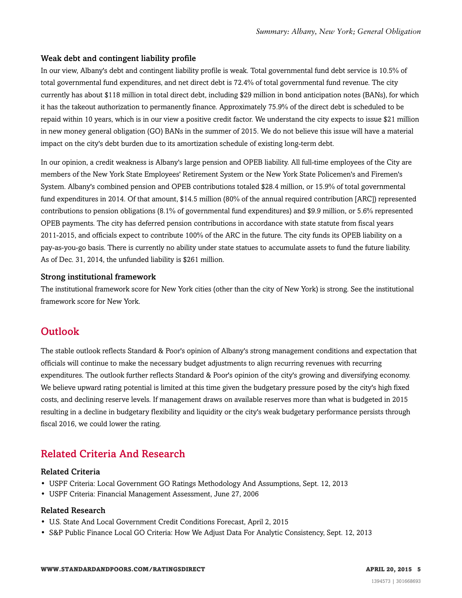#### Weak debt and contingent liability profile

In our view, Albany's debt and contingent liability profile is weak. Total governmental fund debt service is 10.5% of total governmental fund expenditures, and net direct debt is 72.4% of total governmental fund revenue. The city currently has about \$118 million in total direct debt, including \$29 million in bond anticipation notes (BANs), for which it has the takeout authorization to permanently finance. Approximately 75.9% of the direct debt is scheduled to be repaid within 10 years, which is in our view a positive credit factor. We understand the city expects to issue \$21 million in new money general obligation (GO) BANs in the summer of 2015. We do not believe this issue will have a material impact on the city's debt burden due to its amortization schedule of existing long-term debt.

In our opinion, a credit weakness is Albany's large pension and OPEB liability. All full-time employees of the City are members of the New York State Employees' Retirement System or the New York State Policemen's and Firemen's System. Albany's combined pension and OPEB contributions totaled \$28.4 million, or 15.9% of total governmental fund expenditures in 2014. Of that amount, \$14.5 million (80% of the annual required contribution [ARC]) represented contributions to pension obligations (8.1% of governmental fund expenditures) and \$9.9 million, or 5.6% represented OPEB payments. The city has deferred pension contributions in accordance with state statute from fiscal years 2011-2015, and officials expect to contribute 100% of the ARC in the future. The city funds its OPEB liability on a pay-as-you-go basis. There is currently no ability under state statues to accumulate assets to fund the future liability. As of Dec. 31, 2014, the unfunded liability is \$261 million.

#### Strong institutional framework

The institutional framework score for New York cities (other than the city of New York) is strong. See the institutional framework score for New York.

### <span id="page-4-0"></span>**Outlook**

The stable outlook reflects Standard & Poor's opinion of Albany's strong management conditions and expectation that officials will continue to make the necessary budget adjustments to align recurring revenues with recurring expenditures. The outlook further reflects Standard & Poor's opinion of the city's growing and diversifying economy. We believe upward rating potential is limited at this time given the budgetary pressure posed by the city's high fixed costs, and declining reserve levels. If management draws on available reserves more than what is budgeted in 2015 resulting in a decline in budgetary flexibility and liquidity or the city's weak budgetary performance persists through fiscal 2016, we could lower the rating.

## <span id="page-4-1"></span>Related Criteria And Research

#### Related Criteria

- USPF Criteria: Local Government GO Ratings Methodology And Assumptions, Sept. 12, 2013
- USPF Criteria: Financial Management Assessment, June 27, 2006

#### Related Research

- U.S. State And Local Government Credit Conditions Forecast, April 2, 2015
- S&P Public Finance Local GO Criteria: How We Adjust Data For Analytic Consistency, Sept. 12, 2013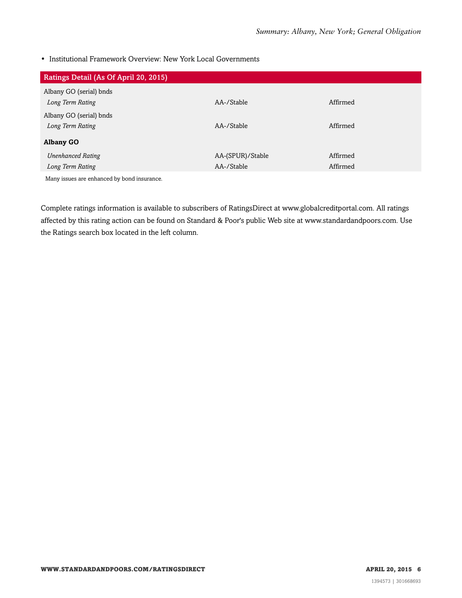• Institutional Framework Overview: New York Local Governments

| Ratings Detail (As Of April 20, 2015)       |                  |          |
|---------------------------------------------|------------------|----------|
| Albany GO (serial) bnds                     |                  |          |
| Long Term Rating                            | AA-/Stable       | Affirmed |
| Albany GO (serial) bnds                     |                  |          |
| Long Term Rating                            | AA-/Stable       | Affirmed |
| <b>Albany GO</b>                            |                  |          |
| <b>Unenhanced Rating</b>                    | AA-(SPUR)/Stable | Affirmed |
| Long Term Rating                            | AA-/Stable       | Affirmed |
| Many issues are enhanced by bond insurance. |                  |          |

Complete ratings information is available to subscribers of RatingsDirect at www.globalcreditportal.com. All ratings affected by this rating action can be found on Standard & Poor's public Web site at www.standardandpoors.com. Use the Ratings search box located in the left column.